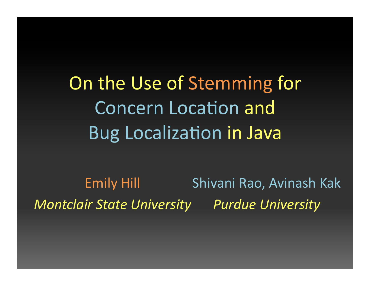On the Use of Stemming for Concern Location and Bug Localization in Java

Shivani Rao,#Avinash Kak *Purdue&University& Montclair&State&University&*Emily Hill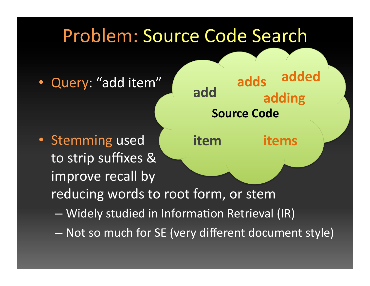## Problem: Source Code Search

**add'**

**Source Code** 

**adds'**

**adding'**

**added'**

Query: "add item"

- Stemming used to strip suffixes & improve recall by reducing words to root form, or stem **item' items'**
	- $-$  Widely studied in Information Retrieval (IR)
	- Not so much for SE (very different document style)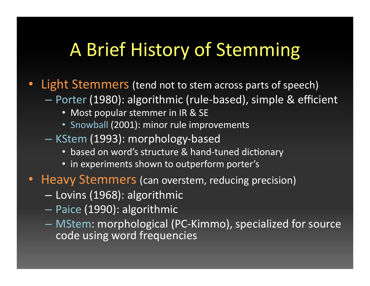## A Brief History of Stemming

- Light Stemmers (tend not to stem across parts of speech)
	- $-$  Porter (1980): algorithmic (rule-based), simple & efficient
		- Most popular stemmer in IR & SE
		- Snowball (2001): minor rule improvements
	- KStem (1993): morphology-based
		- based on word's structure & hand-tuned dictionary
		- in experiments shown to outperform porter's
- **Heavy Stemmers (can overstem, reducing precision)** 
	- Lovins#(1968):#algorithmic#
	- Paice (1990): algorithmic
	- MStem: morphological (PC-Kimmo), specialized for source code using word frequencies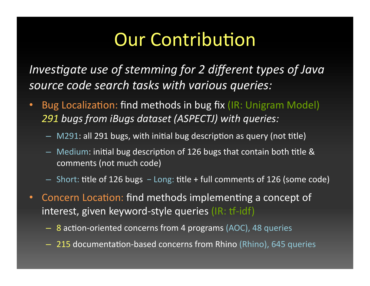# **Our Contribution**

*Investigate use of stemming for 2 different types of Java* source code search tasks with various queries:

- Bug Localization: find methods in bug fix (IR: Unigram Model) 291 bugs from iBugs dataset (ASPECTJ) with queries:
	- $-$  M291: all 291 bugs, with initial bug description as query (not title)
	- $-$  Medium: initial bug description of 126 bugs that contain both title & comments (not much code)
	- Short: title of 126 bugs − Long: title + full comments of 126 (some code)
- Concern Location: find methods implementing a concept of interest, given keyword-style queries (IR: tf-idf)
	- 8 action-oriented concerns from 4 programs (AOC), 48 queries
	- 215 documentation-based concerns from Rhino (Rhino), 645 queries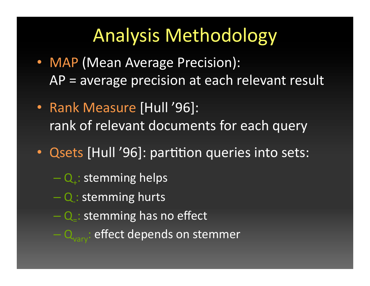## Analysis Methodology

- MAP (Mean Average Precision):  $AP$  = average precision at each relevant result
- Rank Measure [Hull '96]: rank of relevant documents for each query
- Qsets [Hull '96]: partition queries into sets:
	- $-Q_{+}:$  stemming helps
	- Q: stemming hurts
	- $-$  Q $-$ : stemming has no effect
	- $-Q_{\text{var}}$ : effect depends on stemmer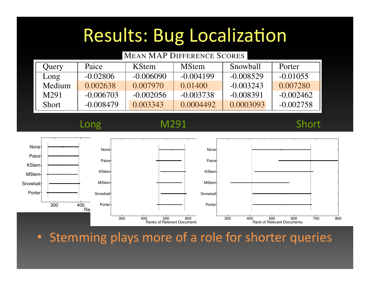### Results: Bug Localization  $A$  0.03072 0.02619 0.02619 0.02619 0.02619 0.02548 0.02548 0.01576 0.01762 0.0176 Luite: Rug Localization Table II Ulte: Rug Localiz

Set Paice KStem MStem Snowball Porter

### **MEAN MAP DIFFERENCE SCORES** Java programming to read the documentation for a subset of 80-81 concerns. The developers had varying levels of 80-81 concerns. The developers had varying levels of 8 Query | Paice | KStem | MStem | Snowball | Porter Long  $-0.02806$   $-0.006090$   $-0.004199$   $-0.008529$   $-0.01055$ Medium 0.002638 0.007970 0.01400 -0.003243 0.007280 M291 | -0.006703 | -0.002056 | -0.003738 | -0.008391 | -0.002462 Short | -0.008479 | 0.003343 | 0.0004492 | 0.0003093 | -0.002758

analyses described in Section III-A. In Section III-A. In Section III-A. In Section III-A. In Section III-A. I<br>In Section III-A. In Section III-A. In Section III-A. In Section III-A. In Section III-A. In Section III-A. In

### programming and industry experience, short in Table VII. In Table VII. In Table VII. In Table VII. In Table VI M291 Long M291 Short

The subjects were asked to formulate a query containing  $\blacksquare$  the relevant to the feature relevant to the feature and would would be feature and would be feature and would be feature and would be feature and would be feature and would be feature and would be feature and would  $b^{\text{hole}}$  the first query they would type into a search engine such a search engine such a search engine such a search engine such a search  $b$ as Google when searching when searching is the searching. They could include specific include specific include s<br>They could include specific include specific include specific include specific include specific include speci tifiers as a those words as a those were listed in the documentation of the documentation. In the documentation<br>The documentation of the documentation. In the documentation of the documentation of the documentation of the  $T = \begin{bmatrix} 1 & 1 & 1 \\ 1 & 1 & 1 \\ 1 & 1 & 1 \end{bmatrix}$ such that 3 different subjects formulated queries for each concernsity a total of 6500 concernsition and the 6500 concernsition of 6500 concernsitions.<br>The concerning combinations of Relevant Documents and the comments of Relevant Documents and the concerning com  $\mathcal{L}$  ,  $\mathcal{L}$  $\text{ball}$  the documents and the documents and the  $\text{MStem}$  represented as  $\text{MStem}$ . **|** Showball<br>
<br>
<u>| Showball</u><br>
200 400 Porter-<br>
Porterto determine the "match" between a content of the "match" between a document. The "match" between a document.<br>The "match" between a document of the "match" between a document of the "match" between a document of the "match These similarity values are then ranked in decreasing order  $300$  400 Porter $\dagger$  600  $\pm$ Porter **Snowball** MStem KStem Paice None Rank of  $\vert$ 300 400 500 600 300 Porter **Snowball** MStem KStem Paice None Ranks of Relevant Documents 300 400 500 600 700 800 Porter **Snowball** MStem KStem Paice None Rank of Relevant Documents

• Stemming plays more of a role for shorter queries

Each stemmer (and no stemming) was used with tf-idf

to search for each query. Both the source and the source and the source and the source and the source and the s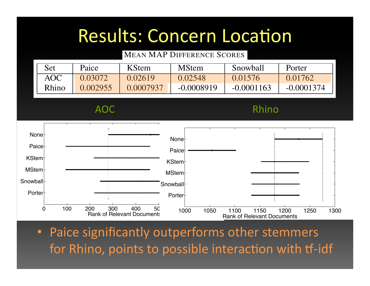### Results: Concern Location Table IX

Table VIII

Set Paice KStem MStem Snowball Porter

### MEAN MAP DIFFERENCE SCORES

| <b>Set</b> | Paice    | <b>KStem</b> | <b>MStem</b> | Snowball     | Porter       |
|------------|----------|--------------|--------------|--------------|--------------|
| <b>AOC</b> | 0.03072  | 0.02619      | 0.02548      | 0.01576      | 0.01762      |
| Rhino      | 0.002955 | 0.0007937    | $-0.0008919$ | $-0.0001163$ | $-0.0001374$ |

Java programming to read the documentation for a subset of 80-81 concerns. The developers had varying levels of  $\mathsf{Rnino}$ AOC Rhino



• Paice significantly outperforms other stemmers for Rhino, points to possible interaction with tf-idf *C. Methodology* Each steep stemmer (and no stemming) when the stemming with the step with the step with the step with the step . Paice significantly outnerforms other stemmers be the first contrary they would the first contrary would the first the search engine such a search engine such a search engine such a search engine such a search engine such a search engine such a search engine such a sea as Forming, points to possible interaction with the large

tifiers as keywords as keywords if the documentation in the documentation of the documentation. If the documentation

to search for each query. Both the queries and the source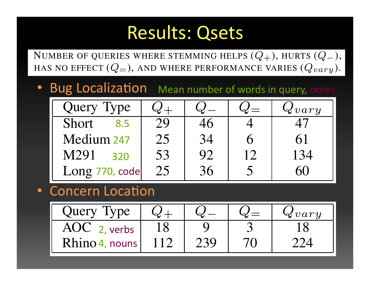### Results: Qsets Table X

AOC 18 9 3 18

NUMBER OF QUERIES WHERE STEMMING HELPS  $(Q_+)$ , HURTS  $(Q_-)$ , HAS NO EFFECT  $(Q_=)$ , AND WHERE PERFORMANCE VARIES  $(Q_{vary})$ .

• Bug Localization Mean number of words in query, notes

| Query Type     |    |    |    | $\Delta vary$ |
|----------------|----|----|----|---------------|
| Short<br>8.5   | 29 |    |    |               |
| Medium 247     | 25 | 34 |    | 61            |
| M291<br>320    | 53 | 92 | 12 | 134           |
| Long 770, code | 25 | 36 |    | 60            |

## • Concern Location **Concerne**

| CONCENT LOCALION |                       |     |               |
|------------------|-----------------------|-----|---------------|
| Query Type       | $\boldsymbol{\omega}$ | W.  | $\Delta vary$ |
| $AOC$ 2, verbs   |                       |     |               |
| Rhino 4, nouns   |                       | 239 |               |

Table X